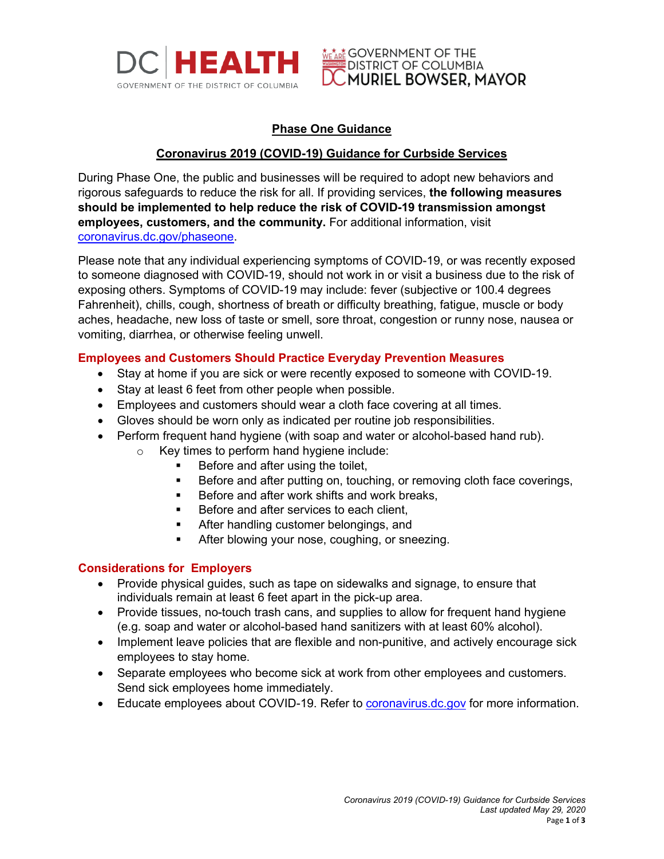



# **Phase One Guidance**

## **Coronavirus 2019 (COVID-19) Guidance for Curbside Services**

During Phase One, the public and businesses will be required to adopt new behaviors and rigorous safeguards to reduce the risk for all. If providing services, **the following measures should be implemented to help reduce the risk of COVID-19 transmission amongst employees, customers, and the community.** For additional information, visit [coronavirus.dc.gov/phaseone.](https://coronavirus.dc.gov/phaseone)

Please note that any individual experiencing symptoms of COVID-19, or was recently exposed to someone diagnosed with COVID-19, should not work in or visit a business due to the risk of exposing others. Symptoms of COVID-19 may include: fever (subjective or 100.4 degrees Fahrenheit), chills, cough, shortness of breath or difficulty breathing, fatigue, muscle or body aches, headache, new loss of taste or smell, sore throat, congestion or runny nose, nausea or vomiting, diarrhea, or otherwise feeling unwell.

## **Employees and Customers Should Practice Everyday Prevention Measures**

- Stay at home if you are sick or were recently exposed to someone with COVID-19.
- Stay at least 6 feet from other people when possible.
- Employees and customers should wear a cloth face covering at all times.
- Gloves should be worn only as indicated per routine job responsibilities.
- Perform frequent hand hygiene (with soap and water or alcohol-based hand rub).
	- o Key times to perform hand hygiene include:
		- **Before and after using the toilet,**
		- Before and after putting on, touching, or removing cloth face coverings,
		- Before and after work shifts and work breaks,
		- Before and after services to each client,
		- After handling customer belongings, and
		- **After blowing your nose, coughing, or sneezing.**

## **Considerations for Employers**

- Provide physical guides, such as tape on sidewalks and signage, to ensure that individuals remain at least 6 feet apart in the pick-up area.
- Provide tissues, no-touch trash cans, and supplies to allow for frequent hand hygiene (e.g. soap and water or alcohol-based hand sanitizers with at least 60% alcohol).
- Implement leave policies that are flexible and non-punitive, and actively encourage sick employees to stay home.
- Separate employees who become sick at work from other employees and customers. Send sick employees home immediately.
- Educate employees about COVID-19. Refer to [coronavirus.dc.gov](https://coronavirus.dc.gov/) for more information.